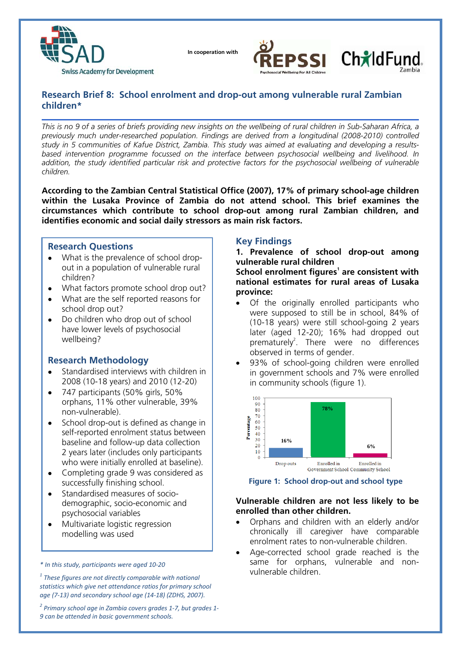

 **In cooperation with**



# **Research Brief 8: School enrolment and drop-out among vulnerable rural Zambian children\***

*This is no 9 of a series of briefs providing new insights on the wellbeing of rural children in Sub-Saharan Africa, a previously much under-researched population. Findings are derived from a longitudinal (2008-2010) controlled study in 5 communities of Kafue District, Zambia. This study was aimed at evaluating and developing a resultsbased intervention programme focussed on the interface between psychosocial wellbeing and livelihood. In*  addition, the study identified particular risk and protective factors for the psychosocial wellbeing of vulnerable *children.* 

**According to the Zambian Central Statistical Office (2007), 17% of primary school-age children within the Lusaka Province of Zambia do not attend school. This brief examines the circumstances which contribute to school drop-out among rural Zambian children, and identifies economic and social daily stressors as main risk factors.** 

## **Research Questions**

- What is the prevalence of school dropout in a population of vulnerable rural children?
- What factors promote school drop out?
- What are the self reported reasons for school drop out?
- Do children who drop out of school have lower levels of psychosocial wellbeing?

## **Research Methodology**

- Standardised interviews with children in 2008 (10-18 years) and 2010 (12-20)
- 747 participants (50% girls, 50% orphans, 11% other vulnerable, 39% non-vulnerable).
- School drop-out is defined as change in self-reported enrolment status between baseline and follow-up data collection 2 years later (includes only participants who were initially enrolled at baseline).
- Completing grade 9 was considered as successfully finishing school.
- Standardised measures of sociodemographic, socio-economic and psychosocial variables
- Multivariate logistic regression modelling was used

*\* In this study, participants were aged 10‐20*

*<sup>1</sup> These figures are not directly comparable with national statistics which give net attendance ratios for primary school age (7‐13) and secondary school age (14‐18) (ZDHS, 2007).* 

*<sup>2</sup> Primary school age in Zambia covers grades 1‐7, but grades 1‐ 9 can be attended in basic government schools.*

## **Key Findings**

**1. Prevalence of school drop-out among vulnerable rural children**

**School enrolment figures<sup>1</sup> are consistent with national estimates for rural areas of Lusaka province:**

- Of the originally enrolled participants who were supposed to still be in school, 84% of (10-18 years) were still school-going 2 years later (aged 12-20); 16% had dropped out prematurely<sup>2</sup>. There were no differences observed in terms of gender.
- 93% of school-going children were enrolled in government schools and 7% were enrolled in community schools (figure 1).



#### **Figure 1: School drop-out and school type**

## **Vulnerable children are not less likely to be enrolled than other children.**

- Orphans and children with an elderly and/or chronically ill caregiver have comparable enrolment rates to non-vulnerable children.
- Age-corrected school grade reached is the same for orphans, vulnerable and nonvulnerable children.